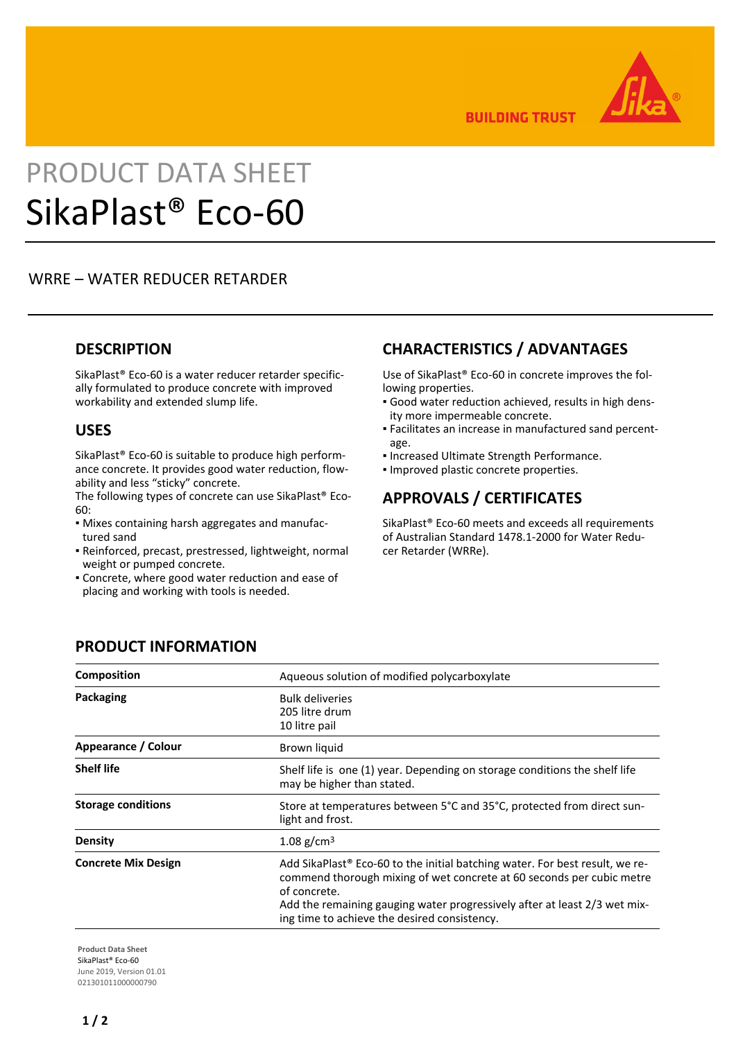

**BUILDING TRUST** 

# PRODUCT DATA SHEET SikaPlast® Eco-60

## WRRE – WATER REDUCER RETARDER

#### **DESCRIPTION**

SikaPlast® Eco-60 is a water reducer retarder specifically formulated to produce concrete with improved workability and extended slump life.

#### **USES**

SikaPlast® Eco-60 is suitable to produce high performance concrete. It provides good water reduction, flowability and less "sticky" concrete.

The following types of concrete can use SikaPlast® Eco-60:

- Mixes containing harsh aggregates and manufac-▪ tured sand
- Reinforced, precast, prestressed, lightweight, normal weight or pumped concrete.
- Concrete, where good water reduction and ease of placing and working with tools is needed.

## **CHARACTERISTICS / ADVANTAGES**

Use of SikaPlast® Eco-60 in concrete improves the following properties.

- Good water reduction achieved, results in high dens-▪ ity more impermeable concrete.
- Facilitates an increase in manufactured sand percent-▪ age.
- Increased Ultimate Strength Performance.
- Improved plastic concrete properties.

### **APPROVALS / CERTIFICATES**

SikaPlast® Eco-60 meets and exceeds all requirements of Australian Standard 1478.1-2000 for Water Reducer Retarder (WRRe).

### **PRODUCT INFORMATION**

| <b>Composition</b>         | Aqueous solution of modified polycarboxylate                                                                                                                                                                                                                                                                   |
|----------------------------|----------------------------------------------------------------------------------------------------------------------------------------------------------------------------------------------------------------------------------------------------------------------------------------------------------------|
| Packaging                  | <b>Bulk deliveries</b><br>205 litre drum<br>10 litre pail                                                                                                                                                                                                                                                      |
| Appearance / Colour        | Brown liquid                                                                                                                                                                                                                                                                                                   |
| <b>Shelf life</b>          | Shelf life is one (1) year. Depending on storage conditions the shelf life<br>may be higher than stated.                                                                                                                                                                                                       |
| <b>Storage conditions</b>  | Store at temperatures between 5°C and 35°C, protected from direct sun-<br>light and frost.                                                                                                                                                                                                                     |
| <b>Density</b>             | 1.08 g/cm <sup>3</sup>                                                                                                                                                                                                                                                                                         |
| <b>Concrete Mix Design</b> | Add SikaPlast <sup>®</sup> Eco-60 to the initial batching water. For best result, we re-<br>commend thorough mixing of wet concrete at 60 seconds per cubic metre<br>of concrete.<br>Add the remaining gauging water progressively after at least 2/3 wet mix-<br>ing time to achieve the desired consistency. |

**Product Data Sheet** SikaPlast® Eco-60 June 2019, Version 01.01 021301011000000790